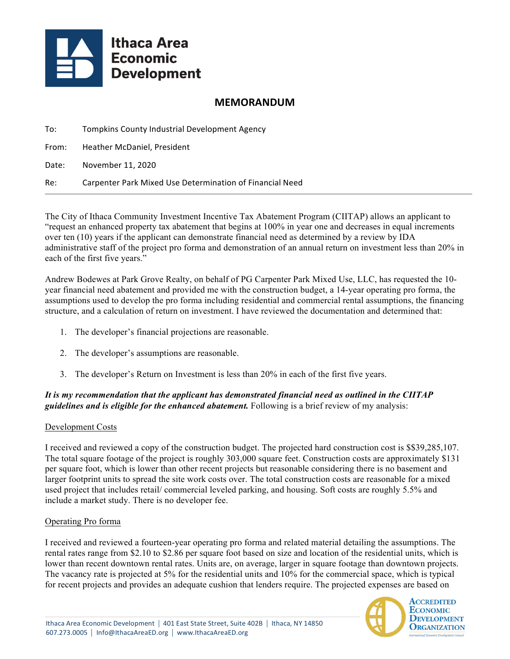

# **MEMORANDUM**

| To:   | Tompkins County Industrial Development Agency            |
|-------|----------------------------------------------------------|
| From: | Heather McDaniel, President                              |
| Date: | November 11, 2020                                        |
| Re:   | Carpenter Park Mixed Use Determination of Financial Need |

The City of Ithaca Community Investment Incentive Tax Abatement Program (CIITAP) allows an applicant to "request an enhanced property tax abatement that begins at 100% in year one and decreases in equal increments over ten (10) years if the applicant can demonstrate financial need as determined by a review by IDA administrative staff of the project pro forma and demonstration of an annual return on investment less than 20% in each of the first five years."

Andrew Bodewes at Park Grove Realty, on behalf of PG Carpenter Park Mixed Use, LLC, has requested the 10 year financial need abatement and provided me with the construction budget, a 14-year operating pro forma, the assumptions used to develop the pro forma including residential and commercial rental assumptions, the financing structure, and a calculation of return on investment. I have reviewed the documentation and determined that:

- 1. The developer's financial projections are reasonable.
- 2. The developer's assumptions are reasonable.
- 3. The developer's Return on Investment is less than 20% in each of the first five years.

## *It is my recommendation that the applicant has demonstrated financial need as outlined in the CIITAP guidelines and is eligible for the enhanced abatement.* Following is a brief review of my analysis:

### Development Costs

I received and reviewed a copy of the construction budget. The projected hard construction cost is \$\$39,285,107. The total square footage of the project is roughly 303,000 square feet. Construction costs are approximately \$131 per square foot, which is lower than other recent projects but reasonable considering there is no basement and larger footprint units to spread the site work costs over. The total construction costs are reasonable for a mixed used project that includes retail/ commercial leveled parking, and housing. Soft costs are roughly 5.5% and include a market study. There is no developer fee.

### Operating Pro forma

I received and reviewed a fourteen-year operating pro forma and related material detailing the assumptions. The rental rates range from \$2.10 to \$2.86 per square foot based on size and location of the residential units, which is lower than recent downtown rental rates. Units are, on average, larger in square footage than downtown projects. The vacancy rate is projected at 5% for the residential units and 10% for the commercial space, which is typical for recent projects and provides an adequate cushion that lenders require. The projected expenses are based on